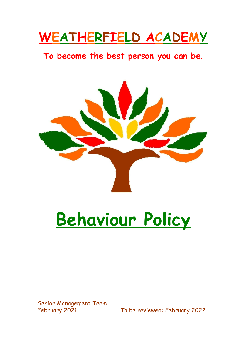## **WEATHERFIELD ACADEMY**

### **To become the best person you can be**.



# **Behaviour Policy**

Senior Management Team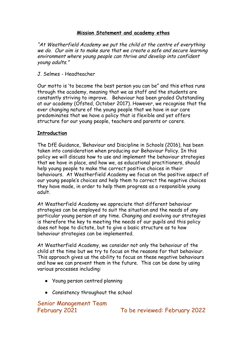#### **Mission Statement and academy ethos**

"At Weatherfield Academy we put the child at the centre of everything we do. Our aim is to make sure that we create a safe and secure learning environment where young people can thrive and develop into confident young adults."

#### J. Selmes - Headteacher

Our motto is 'to become the best person you can be" and this ethos runs through the academy, meaning that we as staff and the students are constantly striving to improve. Behaviour has been graded Outstanding at our academy (Ofsted, October 2017). However, we recognise that the ever changing nature of the young people that we have in our care predominates that we have a policy that is flexible and yet offers structure for our young people, teachers and parents or carers.

#### **Introduction**

The DfE Guidance, 'Behaviour and Discipline in Schools (2016), has been taken into consideration when producing our Behaviour Policy. In this policy we will discuss how to use and implement the behaviour strategies that we have in place, and how we, as educational practitioners, should help young people to make the correct positive choices in their behaviours. At Weatherfield Academy we focus on the positive aspect of our young people's choices and help them to correct the negative choices they have made, in order to help them progress as a responsible young adult.

At Weatherfield Academy we appreciate that different behaviour strategies can be employed to suit the situation and the needs of any particular young person at any time. Changing and evolving our strategies is therefore the key to meeting the needs of our pupils and this policy does not hope to dictate, but to give a basic structure as to how behaviour strategies can be implemented.

At Weatherfield Academy, we consider not only the behaviour of the child at the time but we try to focus on the reasons for that behaviour. This approach gives us the ability to focus on these negative behaviours and how we can prevent them in the future. This can be done by using various processes including:

- Young person centred planning
- Consistency throughout the school

Senior Management Team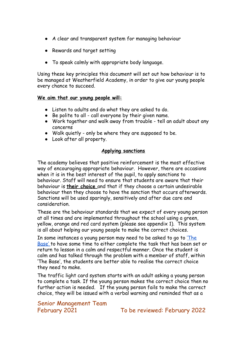- A clear and transparent system for managing behaviour
- Rewards and target setting
- To speak calmly with appropriate body language.

Using these key principles this document will set out how behaviour is to be managed at Weatherfield Academy, in order to give our young people every chance to succeed.

#### **We aim that our young people will:**

- **●** Listen to adults and do what they are asked to do.
- **●** Be polite to all call everyone by their given name.
- **●** Work together and walk away from trouble tell an adult about any concerns
- **●** Walk quietly only be where they are supposed to be.
- **●** Look after all property.

#### **Applying sanctions**

The academy believes that positive reinforcement is the most effective way of encouraging appropriate behaviour. However, there are occasions when it is in the best interest of the pupil, to apply sanctions to behaviour. Staff will need to ensure that students are aware that their behaviour is **their choice** and that if they choose a certain undesirable behaviour then they choose to have the sanction that occurs afterwards. Sanctions will be used sparingly, sensitively and after due care and consideration.

These are the behaviour standards that we expect of every young person at all times and are implemented throughout the school using a green, yellow, orange and red card system (please see appendix 1). This system is all about helping our young people to make the correct choices.

In some instances a young person may need to be asked to go to The [Base' t](https://docs.google.com/document/u/0/d/1bvCeLUSulTQGFLyxSAlXKjMteSAuXeMQ/edit)o have some time to either complete the task that has been set or return to lesson in a calm and respectful manner. Once the student is calm and has talked through the problem with a member of staff, within 'The Base', the students are better able to realise the correct choice they need to make.

The traffic light card system starts with an adult asking a young person to complete a task. If the young person makes the correct choice then no further action is needed. If the young person fails to make the correct choice, they will be issued with a verbal warning and reminded that as a

Senior Management Team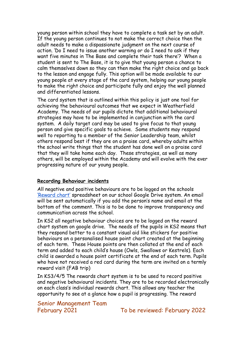young person within school they have to complete a task set by an adult. If the young person continues to not make the correct choice then the adult needs to make a dispassionate judgment on the next course of action. 'Do I need to issue another warning or do I need to ask if they want five minutes in The Base and complete their task there'? When a student is sent to The Base, it is to give that young person a chance to calm themselves down so they can then make the right choice and go back to the lesson and engage fully. This option will be made available to our young people at every stage of the card system, helping our young people to make the right choice and participate fully and enjoy the well planned and differentiated lessons.

The card system that is outlined within this policy is just one tool for achieving the behavioural outcomes that we expect in Weatherfield Academy. The needs of our pupils dictate that additional behavioural strategies may have to be implemented in conjunction with the card system. A daily target card may be used to give focus to that young person and give specific goals to achieve. Some students may respond well to reporting to a member of the Senior Leadership team, whilst others respond best if they are on a praise card, whereby adults within the school write things that the student has done well on a praise card that they will take home each day. These strategies, as well as many others, will be employed within the Academy and will evolve with the ever progressing nature of our young people.

#### **Recording Behaviour incidents**

All negative and positive behaviours are to be logged on the schools ['Reward chart'](https://docs.google.com/spreadsheets/d/1Gp2blt96Wp0hTNneRG1karBBrqYAVzfGnIhgon12ejs/edit#gid=1274579329) spreadsheet on our school Google Drive system. An email will be sent automatically if you add the person's name and email at the bottom of the comment. This is to be done to improve transparency and communication across the school.

In KS2 all negative behaviour choices are to be logged on the reward chart system on google drive. The needs of the pupils in KS2 means that they respond better to a constant visual aid like stickers for positive behaviours on a personalised house point chart created at the beginning of each term. These House points are then collated at the end of each term and added to each child's house (Owls, Swallows or Kestrels). Each child is awarded a house point certificate at the end of each term. Pupils who have not received a red card during the term are invited on a termly reward visit (FAB trip)

In KS3/4/5 The rewards chart system is to be used to record positive and negative behavioural incidents. They are to be recorded electronically on each class's individual rewards chart. This allows any teacher the opportunity to see at a glance how a pupil is progressing. The reward

Senior Management Team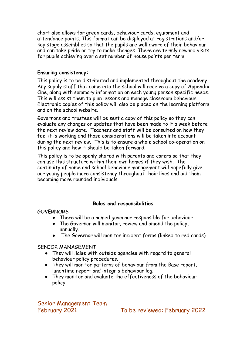chart also allows for green cards, behaviour cards, equipment and attendance points. This format can be displayed at registrations and/or key stage assemblies so that the pupils are well aware of their behaviour and can take pride or try to make changes. There are termly reward visits for pupils achieving over a set number of house points per term.

#### **Ensuring consistency:**

This policy is to be distributed and implemented throughout the academy. Any supply staff that come into the school will receive a copy of Appendix One, along with summary information on each young person specific needs. This will assist them to plan lessons and manage classroom behaviour. Electronic copies of this policy will also be placed on the learning platform and on the school website.

Governors and trustees will be sent a copy of this policy so they can evaluate any changes or updates that have been made to it a week before the next review date. Teachers and staff will be consulted on how they feel it is working and those considerations will be taken into account during the next review. This is to ensure a whole school co-operation on this policy and how it should be taken forward.

This policy is to be openly shared with parents and carers so that they can use this structure within their own homes if they wish. The continuity of home and school behaviour management will hopefully give our young people more consistency throughout their lives and aid them becoming more rounded individuals.

#### **Roles and responsibilities**

**GOVERNORS** 

- There will be a named governor responsible for behaviour
- The Governor will monitor, review and amend the policy, annually.
- The Governor will monitor incident forms (linked to red cards)

SENIOR MANAGEMENT

- They will liaise with outside agencies with regard to general behaviour policy procedures.
- They will monitor patterns of behaviour from the Base report, lunchtime report and integris behaviour log.
- They monitor and evaluate the effectiveness of the behaviour policy.

Senior Management Team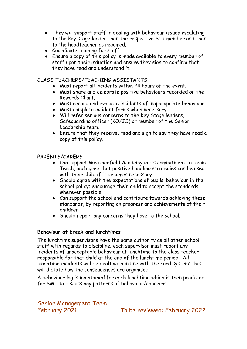- They will support staff in dealing with behaviour issues escalating to the key stage leader then the respective SLT member and then to the headteacher as required.
- Coordinate training for staff.
- **●** Ensure a copy of this policy is made available to every member of staff upon their induction and ensure they sign to confirm that they have read and understand it.

#### CLASS TEACHERS/TEACHING ASSISTANTS

- Must report all incidents within 24 hours of the event.
- Must share and celebrate positive behaviours recorded on the Rewards Chart.
- Must record and evaluate incidents of inappropriate behaviour.
- Must complete incident forms when necessary.
- Will refer serious concerns to the Key Stage leaders, Safeguarding officer (KO/JS) or member of the Senior Leadership team.
- Ensure that they receive, read and sign to say they have read a copy of this policy.

#### PARENTS/CARERS

- Can support Weatherfield Academy in its commitment to Team Teach, and agree that positive handling strategies can be used with their child if it becomes necessary.
- Should agree with the expectations of pupils' behaviour in the school policy; encourage their child to accept the standards wherever possible.
- Can support the school and contribute towards achieving these standards, by reporting on progress and achievements of their children
- Should report any concerns they have to the school.

#### **Behaviour at break and lunchtimes**

The lunchtime supervisors have the same authority as all other school staff with regards to discipline; each supervisor must report any incidents of unacceptable behaviour at lunchtime to the class teacher responsible for that child at the end of the lunchtime period. All lunchtime incidents will be dealt with in line with the card system; this will dictate how the consequences are organised.

A behaviour log is maintained for each lunchtime which is then produced for SMT to discuss any patterns of behaviour/concerns.

Senior Management Team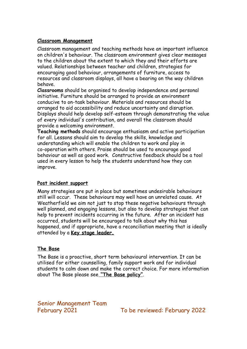#### **Classroom Management**

Classroom management and teaching methods have an important influence on children's behaviour. The classroom environment gives clear messages to the children about the extent to which they and their efforts are valued. Relationships between teacher and children, strategies for encouraging good behaviour, arrangements of furniture, access to resources and classroom displays, all have a bearing on the way children behave.

**Classrooms** should be organised to develop independence and personal initiative. Furniture should be arranged to provide an environment conducive to on-task behaviour. Materials and resources should be arranged to aid accessibility and reduce uncertainty and disruption. Displays should help develop self-esteem through demonstrating the value of every individual's contribution, and overall the classroom should provide a welcoming environment.

**Teaching methods** should encourage enthusiasm and active participation for all. Lessons should aim to develop the skills, knowledge and understanding which will enable the children to work and play in co-operation with others. Praise should be used to encourage good behaviour as well as good work. Constructive feedback should be a tool used in every lesson to help the students understand how they can improve.

#### **Post incident support**

Many strategies are put in place but sometimes undesirable behaviours still will occur. These behaviours may well have an unrelated cause. At Weatherfield we aim not just to stop these negative behaviours through well planned, and engaging lessons, but also to develop strategies that can help to prevent incidents occurring in the future. After an incident has occurred, students will be encouraged to talk about why this has happened, and if appropriate, have a reconciliation meeting that is ideally attended by a **Key stage leader.**

#### **The Base**

The Base is a proactive, short term behavioural intervention. It can be utilised for either counselling, family support work and for individual students to calm down and make the correct choice. For more information about The Base please see **"The Base policy"**.

Senior Management Team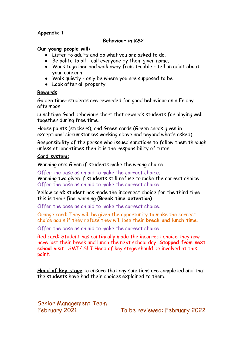#### **Appendix 1**

#### **Behaviour in KS2**

#### **Our young people will:**

- **●** Listen to adults and do what you are asked to do.
- **●** Be polite to all call everyone by their given name.
- **●** Work together and walk away from trouble tell an adult about your concern
- **●** Walk quietly only be where you are supposed to be.
- **●** Look after all property.

#### **Rewards**

Golden time- students are rewarded for good behaviour on a Friday afternoon.

Lunchtime Good behaviour chart that rewards students for playing well together during free time.

House points (stickers), and Green cards (Green cards given in exceptional circumstances working above and beyond what's asked).

Responsibility of the person who issued sanctions to follow them through unless at lunchtimes then it is the responsibility of tutor.

#### **Card system:**

Warning one: Given if students make the wrong choice.

Offer the base as an aid to make the correct choice. Warning two given if students still refuse to make the correct choice. Offer the base as an aid to make the correct choice.

Yellow card: student has made the incorrect choice for the third time this is their final warning **(Break time detention).**

Offer the base as an aid to make the correct choice.

Orange card: They will be given the opportunity to make the correct choice again if they refuse they will lose their **break and lunch time.**

Offer the base as an aid to make the correct choice.

Red card: Student has continually made the incorrect choice they now have lost their break and lunch the next school day. **Stopped from next school visit**. SMT/ SLT Head of key stage should be involved at this point.

**Head of key stage** to ensure that any sanctions are completed and that the students have had their choices explained to them.

Senior Management Team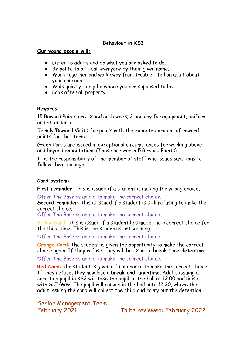#### **Behaviour in KS3**

#### **Our young people will:**

- **●** Listen to adults and do what you are asked to do.
- **●** Be polite to all call everyone by their given name.
- **●** Work together and walk away from trouble tell an adult about your concern
- **●** Walk quietly only be where you are supposed to be.
- **●** Look after all property.

#### **Rewards**:

15 Reward Points are issued each week; 3 per day for equipment, uniform and attendance.

Termly 'Reward Visits' for pupils with the expected amount of reward points for that term.

Green Cards are issued in exceptional circumstances for working above and beyond expectations (These are worth 5 Reward Points).

It is the responsibility of the member of staff who issues sanctions to follow them through.

#### **Card system:**

**First reminder**: This is issued if a student is making the wrong choice.

Offer The Base as an aid to make the correct choice.

**Second reminder**: This is issued if a student is still refusing to make the correct choice.

Offer The Base as an aid to make the correct choice.

**Yellow Card**: This is issued if a student has made the incorrect choice for the third time. This is the student's last warning.

Offer The Base as an aid to make the correct choice.

**Orange Card**: The student is given the opportunity to make the correct choice again. If they refuse, they will be issued a **break time detention**.

Offer The Base as an aid to make the correct choice.

**Red Card**: The student is given a final chance to make the correct choice. If they refuse, they now lose a **break and lunchtime**. Adults issuing a card to a pupil in KS3 will take the pupil to the hall at 12.00 and liaise with SLT/MW. The pupil will remain in the hall until 12.30, where the adult issuing the card will collect the child and carry out the detention.

Senior Management Team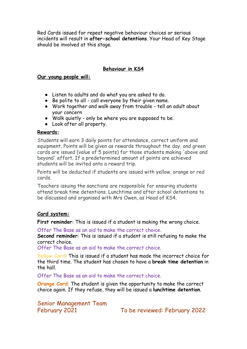Red Cards issued for repeat negative behaviour choices or serious incidents will result in **after-school detentions**. Your Head of Key Stage should be involved at this stage.

#### **Behaviour in KS4**

#### **Our young people will:**

- **●** Listen to adults and do what you are asked to do.
- **●** Be polite to all call everyone by their given name.
- **●** Work together and walk away from trouble tell an adult about your concern
- **●** Walk quietly only be where you are supposed to be.
- **●** Look after all property.

#### **Rewards:**

Students will earn 3 daily points for attendance, correct uniform and equipment. Points will be given as rewards throughout the day, and green cards are issued (value of 5 points) for those students making 'above and beyond' effort. If a predetermined amount of points are achieved students will be invited onto a reward trip.

Points will be deducted if students are issued with yellow, orange or red cards.

Teachers issuing the sanctions are responsible for ensuring students attend break time detentions. Lunchtime and after school detentions to be discussed and organised with Mrs Owen, as Head of KS4.

#### **Card system:**

**First reminder**: This is issued if a student is making the wrong choice.

Offer The Base as an aid to make the correct choice.

**Second reminder**: This is issued if a student is still refusing to make the correct choice.

Offer The Base as an aid to make the correct choice.

**Yellow Card**: This is issued if a student has made the incorrect choice for the third time. The student has chosen to have a **break time detention** in the hall.

Offer The Base as an aid to make the correct choice.

**Orange Card**: The student is given the opportunity to make the correct choice again. If they refuse, they will be issued a **lunchtime detention**.

Senior Management Team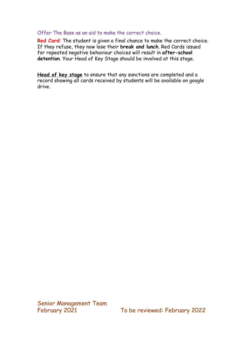#### Offer The Base as an aid to make the correct choice.

**Red Card**: The student is given a final chance to make the correct choice. If they refuse, they now lose their **break and lunch**. Red Cards issued for repeated negative behaviour choices will result in **after-school detention**. Your Head of Key Stage should be involved at this stage.

**Head of key stage** to ensure that any sanctions are completed and a record showing all cards received by students will be available on google drive.

Senior Management Team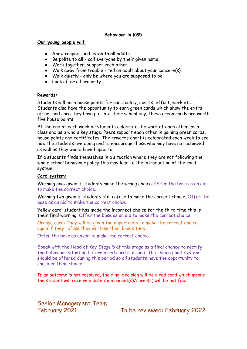#### **Behaviour in KS5**

#### **Our young people will:**

- **●** Show respect and listen to **all** adults.
- **●** Be polite to **all** call everyone by their given name.
- **●** Work together, support each other
- **●** Walk away from trouble tell an adult about your concern(s).
- **●** Walk quietly only be where you are supposed to be.
- **●** Look after all property.

#### **Rewards:**

Students will earn house points for punctuality, merits, effort, work etc.. Students also have the opportunity to earn green cards which show the extra effort and care they have put into their school day; these green cards are worth five house points.

At the end of each week all students celebrate the work of each other, as a class and as a whole key stage. Peers support each other in gaining green cards, house points and certificates. The rewards chart is celebrated each week to see how the students are doing and to encourage those who may have not achieved as well as they would have hoped to.

If a students finds themselves in a situation where they are not following the whole school behaviour policy this may lead to the introduction of the card system:

#### **Card system:**

Warning one: given if students make the wrong choice. Offer the base as an aid to make the correct choice.

Warning two given if students still refuse to make the correct choice. Offer the base as an aid to make the correct choice.

Yellow card: student has made the incorrect choice for the third time this is their final warning. Offer the base as an aid to make the correct choice.

Orange card: They will be given the opportunity to make the correct choice again if they refuse they will lose their break time.

Offer the base as an aid to make the correct choice.

Speak with the Head of Key Stage 5 at this stage as a final chance to rectify the behaviour situation before a red card is issued. The choice point system should be offered during this period so all students have the opportunity to consider their choice.

If an outcome is not resolved, the final decision will be a red card which means the student will receive a detention parent(s)/carer(s) will be notified.

Senior Management Team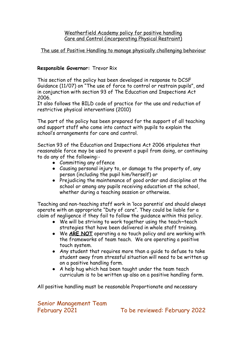Weatherfield Academy policy for positive handling Care and Control (incorporating Physical Restraint)

#### The use of Positive Handling to manage physically challenging behaviour

#### **Responsible Governor:** Trevor Rix

This section of the policy has been developed in response to DCSF Guidance (11/07) on "The use of force to control or restrain pupils", and in conjunction with section 93 of The Education and Inspections Act 2006.

It also follows the BILD code of practice for the use and reduction of restrictive physical interventions (2010)

The part of the policy has been prepared for the support of all teaching and support staff who come into contact with pupils to explain the school's arrangements for care and control.

Section 93 of the Education and Inspections Act 2006 stipulates that reasonable force may be used to prevent a pupil from doing, or continuing to do any of the following:-

- Committing any offence
- Causing personal injury to, or damage to the property of, any person (including the pupil him/herself) or
- Prejudicing the maintenance of good order and discipline at the school or among any pupils receiving education at the school, whether during a teaching session or otherwise.

Teaching and non-teaching staff work in 'loco parentis' and should always operate with an appropriate "Duty of care". They could be liable for a claim of negligence if they fail to follow the guidance within this policy.

- We will be striving to work together using the teach~teach strategies that have been delivered in whole staff training.
- We **ARE NOT** operating a no touch policy and are working with the frameworks of team teach. We are operating a positive touch system.
- Any student that requires more than a guide to defuse to take student away from stressful situation will need to be written up on a positive handling form.
- A help hug which has been taught under the team teach curriculum is to be written up also on a positive handling form.

All positive handling must be reasonable Proportionate and necessary

Senior Management Team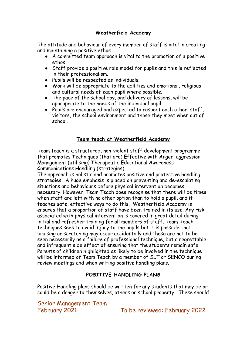#### **Weatherfield Academy**

The attitude and behaviour of every member of staff is vital in creating and maintaining a positive ethos.

- A committed team approach is vital to the promotion of a positive ethos.
- Staff provide a positive role model for pupils and this is reflected in their professionalism.
- Pupils will be respected as individuals.
- Work will be appropriate to the abilities and emotional, religious and cultural needs of each pupil where possible.
- The pace of the school day, and delivery of lessons, will be appropriate to the needs of the individual pupil.
- Pupils are encouraged and expected to respect each other, staff, visitors, the school environment and those they meet when out of school.

#### **Team teach at Weatherfield Academy**

Team teach is a structured, non-violent staff development programme that promotes **T**echniques (that are) **E**ffective with **A**nger, aggression **M**anagement (utilising) **T**herapeutic **E**ducational **A**wareness **C**ommunications **H**andling (strategies).

The approach is holistic and promotes positive and protective handling strategies. A huge emphasis is placed on preventing and de-escalating situations and behaviours before physical intervention becomes necessary. However, Team Teach does recognise that there will be times when staff are left with no other option than to hold a pupil, and it teaches safe, effective ways to do this. Weatherfield Academy is ensures that a proportion of staff have been trained in its use. Any risk associated with physical intervention is covered in great detail during initial and refresher training for all members of staff. Team Teach techniques seek to avoid injury to the pupils but it is possible that bruising or scratching may occur accidentally and these are not to be seen necessarily as a failure of professional technique, but a regrettable and infrequent side effect of ensuring that the students remain safe. Parents of children highlighted as likely to be involved in the technique will be informed of Team Teach by a member of SLT or SENCO during review meetings and when writing positive handling plans.

#### **POSITIVE HANDLING PLANS**

Positive Handling plans should be written for any students that may be or could be a danger to themselves, others or school property. These should

Senior Management Team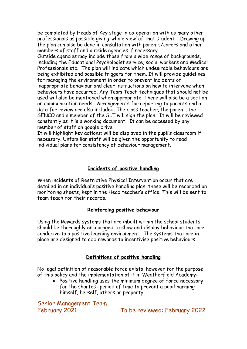be completed by Heads of Key stage in co-operation with as many other professionals as possible giving 'whole view' of that student. Drawing up the plan can also be done in consultation with parents/carers and other members of staff and outside agencies if necessary.

Outside agencies may include those from a wide range of backgrounds, including the Educational Psychologist service, social workers and Medical Professionals etc. The plan will indicate which undesirable behaviours are being exhibited and possible triggers for them. It will provide guidelines for managing the environment in order to prevent incidents of inappropriate behaviour and clear instructions on how to intervene when behaviours have occurred. Any Team Teach techniques that should not be used will also be mentioned when appropriate. There will also be a section on communication needs. Arrangements for reporting to parents and a date for review are also included. The class teacher, the parent, the SENCO and a member of the SLT will sign the plan. It will be reviewed constantly as it is a working document. It can be accessed by any member of staff on google drive.

It will highlight key actions; will be displayed in the pupil's classroom if necessary. Unfamiliar staff will be given the opportunity to read individual plans for consistency of behaviour management.

#### **Incidents of positive handling**

When incidents of Restrictive Physical Intervention occur that are detailed in an individual's positive handling plan, these will be recorded on monitoring sheets, kept in the Head teacher's office. This will be sent to team teach for their records.

#### **Reinforcing positive behaviour**

Using the Rewards systems that are inbuilt within the school students should be thoroughly encouraged to show and display behaviour that are conducive to a positive learning environment. The systems that are in place are designed to add rewards to incentivise positive behaviours.

#### **Definitions of positive handling**

No legal definition of reasonable force exists, however for the purpose of this policy and the implementation of it in Weatherfield Academy:-

● Positive handling uses the minimum degree of force necessary for the shortest period of time to prevent a pupil harming himself, herself, others or property.

Senior Management Team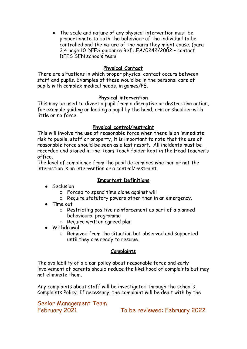● The scale and nature of any physical intervention must be proportionate to both the behaviour of the individual to be controlled and the nature of the harm they might cause. (para 3.4 page 10 DFES guidance Ref LEA/0242/2002 – contact DFES SEN schools team

#### **Physical Contact**

There are situations in which proper physical contact occurs between staff and pupils. Examples of these would be in the personal care of pupils with complex medical needs, in games/PE.

#### **Physical intervention**

This may be used to divert a pupil from a disruptive or destructive action, for example guiding or leading a pupil by the hand, arm or shoulder with little or no force.

#### **Physical control/restraint**

This will involve the use of reasonable force when there is an immediate risk to pupils, staff or property, it is important to note that the use of reasonable force should be seen as a last resort. All incidents must be recorded and stored in the Team Teach folder kept in the Head teacher's office.

The level of compliance from the pupil determines whether or not the interaction is an intervention or a control/restraint.

#### **Important Definitions**

- Seclusion
	- o Forced to spend time alone against will
	- o Require statutory powers other than in an emergency.
- Time out
	- o Restricting positive reinforcement as part of a planned behavioural programme
	- o Require written agreed plan
- Withdrawal
	- o Removed from the situation but observed and supported until they are ready to resume.

#### **Complaints**

The availability of a clear policy about reasonable force and early involvement of parents should reduce the likelihood of complaints but may not eliminate them.

Any complaints about staff will be investigated through the school's Complaints Policy. If necessary, the complaint will be dealt with by the

Senior Management Team